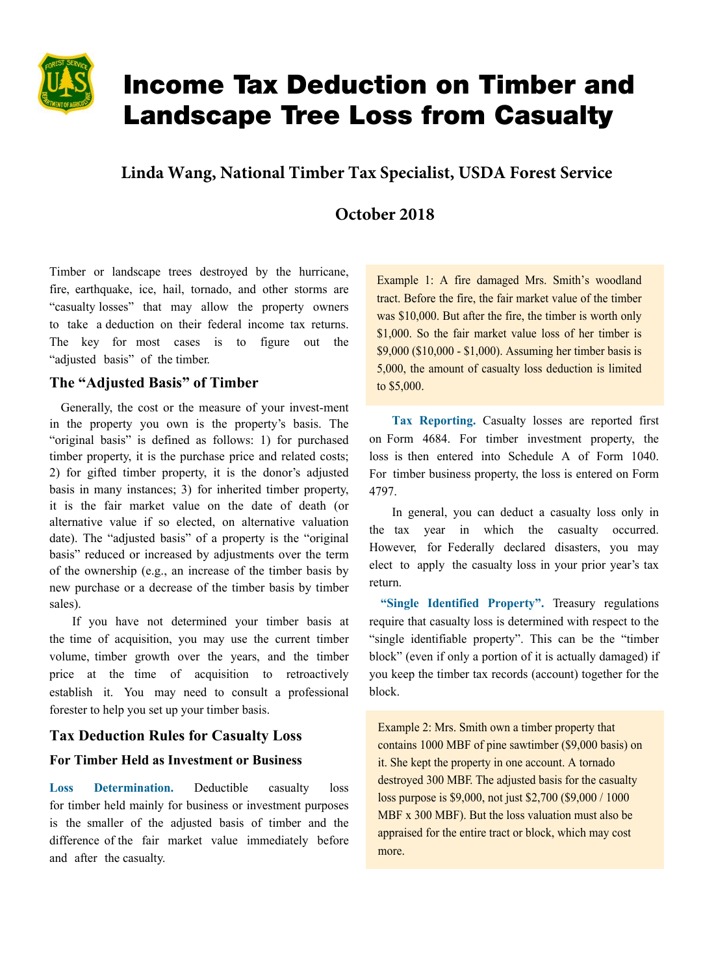

# Income Tax Deduction on Timber and Landscape Tree Loss from Casualty

**Linda Wang, National Timber Tax Specialist, USDA Forest Service**

# **October 2018**

Timber or landscape trees destroyed by the hurricane, fire, earthquake, ice, hail, tornado, and other storms are "casualty losses" that may allow the property owners to take a deduction on their federal income tax returns. The key for most cases is to figure out the "adjusted basis" of the timber.

## **The "Adjusted Basis" of Timber**

Generally, the cost or the measure of your invest-ment in the property you own is the property's basis. The "original basis" is defined as follows: 1) for purchased timber property, it is the purchase price and related costs; 2) for gifted timber property, it is the donor's adjusted basis in many instances; 3) for inherited timber property, it is the fair market value on the date of death (or alternative value if so elected, on alternative valuation date). The "adjusted basis" of a property is the "original basis" reduced or increased by adjustments over the term of the ownership (e.g., an increase of the timber basis by new purchase or a decrease of the timber basis by timber sales).

If you have not determined your timber basis at the time of acquisition, you may use the current timber volume, timber growth over the years, and the timber price at the time of acquisition to retroactively establish it. You may need to consult a professional forester to help you set up your timber basis.

### **Tax Deduction Rules for Casualty Loss**

#### **For Timber Held as Investment or Business**

**Loss Determination.** Deductible casualty loss for timber held mainly for business or investment purposes is the smaller of the adjusted basis of timber and the difference of the fair market value immediately before and after the casualty.

Example 1: A fire damaged Mrs. Smith's woodland tract. Before the fire, the fair market value of the timber was \$10,000. But after the fire, the timber is worth only \$1,000. So the fair market value loss of her timber is \$9,000 (\$10,000 - \$1,000). Assuming her timber basis is 5,000, the amount of casualty loss deduction is limited to \$5,000.

**Tax Reporting.** Casualty losses are reported first on Form 4684. For timber investment property, the loss is then entered into Schedule A of Form 1040. For timber business property, the loss is entered on Form 4797.

In general, you can deduct a casualty loss only in the tax year in which the casualty occurred. However, for Federally declared disasters, you may elect to apply the casualty loss in your prior year's tax return.

**"Single Identified Property".** Treasury regulations require that casualty loss is determined with respect to the "single identifiable property". This can be the "timber block" (even if only a portion of it is actually damaged) if you keep the timber tax records (account) together for the block.

Example 2: Mrs. Smith own a timber property that contains 1000 MBF of pine sawtimber (\$9,000 basis) on it. She kept the property in one account. A tornado destroyed 300 MBF. The adjusted basis for the casualty loss purpose is \$9,000, not just \$2,700 (\$9,000 / 1000 MBF x 300 MBF). But the loss valuation must also be appraised for the entire tract or block, which may cost more.